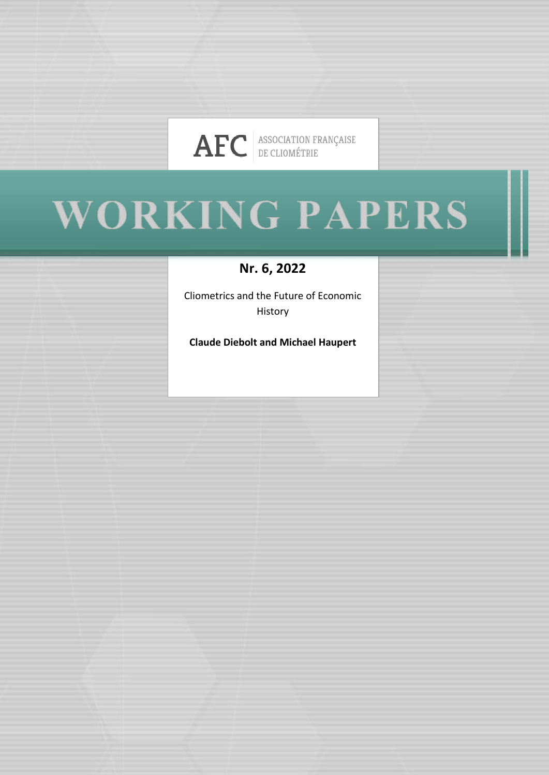

# WORKING PAPERS

**Nr. 6, 2022**

Cliometrics and the Future of Economic History

**Claude Diebolt and Michael Haupert**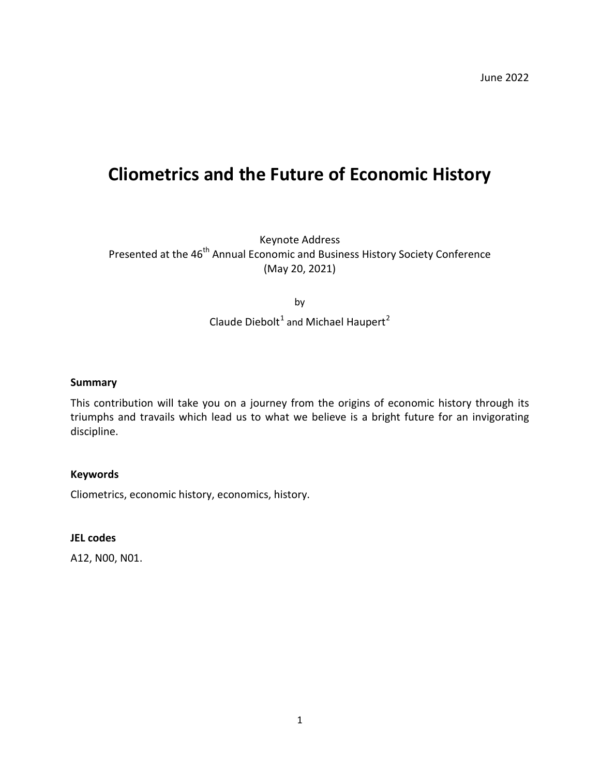# **Cliometrics and the Future of Economic History**

Keynote Address Presented at the 46<sup>th</sup> Annual Economic and Business History Society Conference (May 20, 2021)

by

# Claude Diebolt<sup>[1](#page-29-0)</sup> and Michael Haupert<sup>[2](#page-29-1)</sup>

#### **Summary**

This contribution will take you on a journey from the origins of economic history through its triumphs and travails which lead us to what we believe is a bright future for an invigorating discipline.

#### **Keywords**

Cliometrics, economic history, economics, history.

#### **JEL codes**

A12, N00, N01.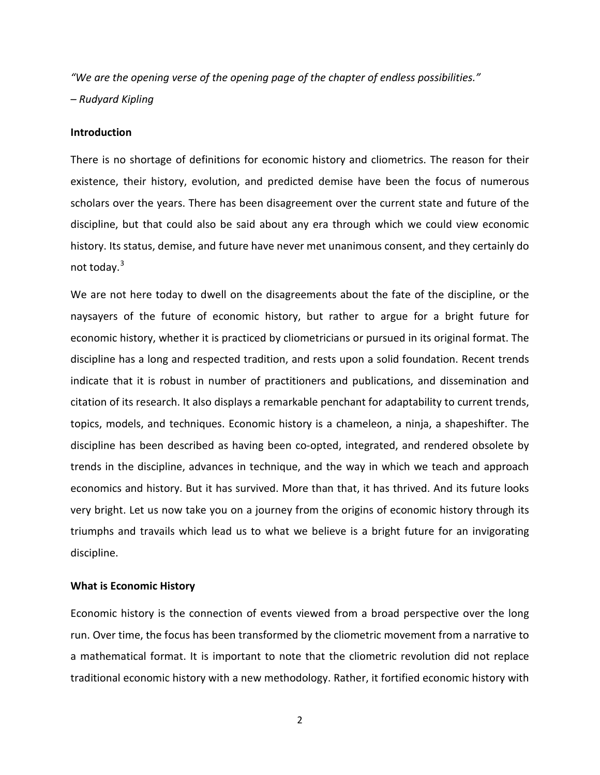*"We are the opening verse of the opening page of the chapter of endless possibilities." – Rudyard Kipling*

#### **Introduction**

There is no shortage of definitions for economic history and cliometrics. The reason for their existence, their history, evolution, and predicted demise have been the focus of numerous scholars over the years. There has been disagreement over the current state and future of the discipline, but that could also be said about any era through which we could view economic history. Its status, demise, and future have never met unanimous consent, and they certainly do not today. $3$ 

We are not here today to dwell on the disagreements about the fate of the discipline, or the naysayers of the future of economic history, but rather to argue for a bright future for economic history, whether it is practiced by cliometricians or pursued in its original format. The discipline has a long and respected tradition, and rests upon a solid foundation. Recent trends indicate that it is robust in number of practitioners and publications, and dissemination and citation of its research. It also displays a remarkable penchant for adaptability to current trends, topics, models, and techniques. Economic history is a chameleon, a ninja, a shapeshifter. The discipline has been described as having been co-opted, integrated, and rendered obsolete by trends in the discipline, advances in technique, and the way in which we teach and approach economics and history. But it has survived. More than that, it has thrived. And its future looks very bright. Let us now take you on a journey from the origins of economic history through its triumphs and travails which lead us to what we believe is a bright future for an invigorating discipline.

#### **What is Economic History**

Economic history is the connection of events viewed from a broad perspective over the long run. Over time, the focus has been transformed by the cliometric movement from a narrative to a mathematical format. It is important to note that the cliometric revolution did not replace traditional economic history with a new methodology. Rather, it fortified economic history with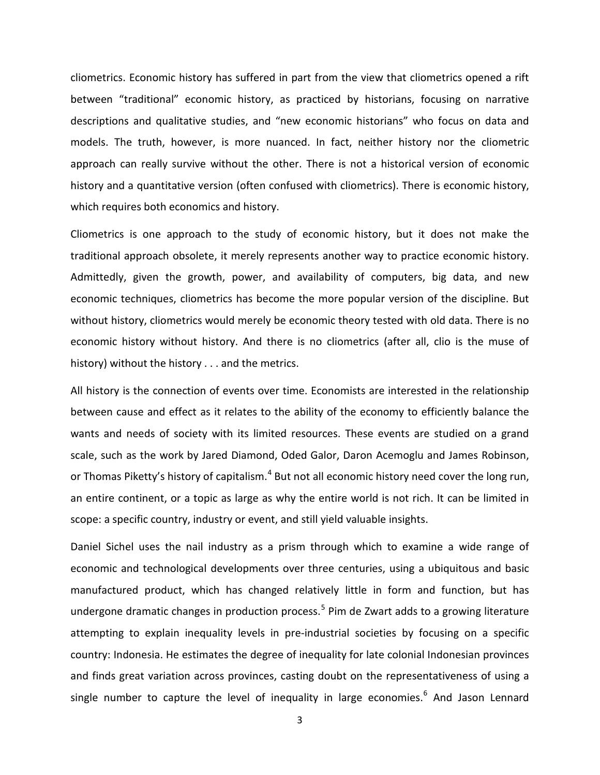cliometrics. Economic history has suffered in part from the view that cliometrics opened a rift between "traditional" economic history, as practiced by historians, focusing on narrative descriptions and qualitative studies, and "new economic historians" who focus on data and models. The truth, however, is more nuanced. In fact, neither history nor the cliometric approach can really survive without the other. There is not a historical version of economic history and a quantitative version (often confused with cliometrics). There is economic history, which requires both economics and history.

Cliometrics is one approach to the study of economic history, but it does not make the traditional approach obsolete, it merely represents another way to practice economic history. Admittedly, given the growth, power, and availability of computers, big data, and new economic techniques, cliometrics has become the more popular version of the discipline. But without history, cliometrics would merely be economic theory tested with old data. There is no economic history without history. And there is no cliometrics (after all, clio is the muse of history) without the history . . . and the metrics.

All history is the connection of events over time. Economists are interested in the relationship between cause and effect as it relates to the ability of the economy to efficiently balance the wants and needs of society with its limited resources. These events are studied on a grand scale, such as the work by Jared Diamond, Oded Galor, Daron Acemoglu and James Robinson, or Thomas Piketty's history of capitalism.<sup>[4](#page-30-1)</sup> But not all economic history need cover the long run, an entire continent, or a topic as large as why the entire world is not rich. It can be limited in scope: a specific country, industry or event, and still yield valuable insights.

Daniel Sichel uses the nail industry as a prism through which to examine a wide range of economic and technological developments over three centuries, using a ubiquitous and basic manufactured product, which has changed relatively little in form and function, but has undergone dramatic changes in production process.<sup>[5](#page-30-2)</sup> Pim de Zwart adds to a growing literature attempting to explain inequality levels in pre-industrial societies by focusing on a specific country: Indonesia. He estimates the degree of inequality for late colonial Indonesian provinces and finds great variation across provinces, casting doubt on the representativeness of using a single number to capture the level of inequality in large economies.<sup>[6](#page-30-3)</sup> And Jason Lennard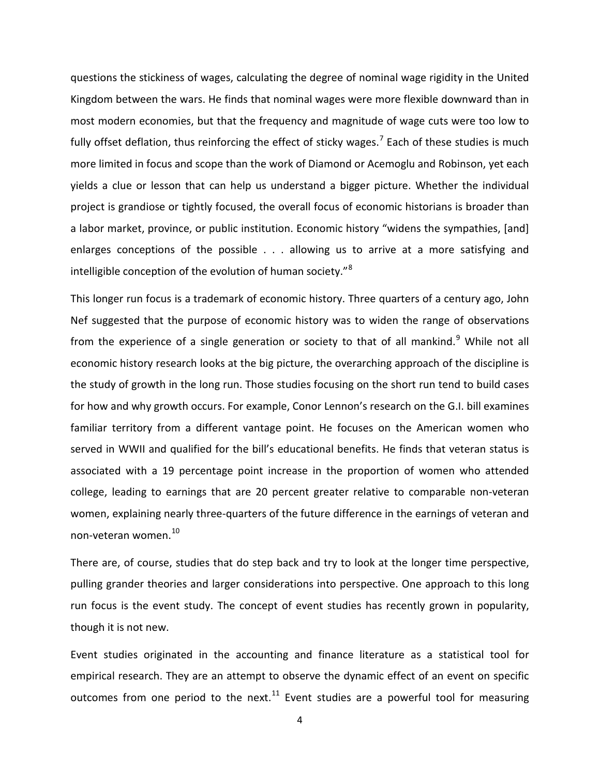questions the stickiness of wages, calculating the degree of nominal wage rigidity in the United Kingdom between the wars. He finds that nominal wages were more flexible downward than in most modern economies, but that the frequency and magnitude of wage cuts were too low to fully offset deflation, thus reinforcing the effect of sticky wages.<sup>[7](#page-30-4)</sup> Each of these studies is much more limited in focus and scope than the work of Diamond or Acemoglu and Robinson, yet each yields a clue or lesson that can help us understand a bigger picture. Whether the individual project is grandiose or tightly focused, the overall focus of economic historians is broader than a labor market, province, or public institution. Economic history "widens the sympathies, [and] enlarges conceptions of the possible . . . allowing us to arrive at a more satisfying and intelligible conception of the evolution of human society."[8](#page-30-5)

This longer run focus is a trademark of economic history. Three quarters of a century ago, John Nef suggested that the purpose of economic history was to widen the range of observations from the experience of a single generation or society to that of all mankind.<sup>[9](#page-30-6)</sup> While not all economic history research looks at the big picture, the overarching approach of the discipline is the study of growth in the long run. Those studies focusing on the short run tend to build cases for how and why growth occurs. For example, Conor Lennon's research on the G.I. bill examines familiar territory from a different vantage point. He focuses on the American women who served in WWII and qualified for the bill's educational benefits. He finds that veteran status is associated with a 19 percentage point increase in the proportion of women who attended college, leading to earnings that are 20 percent greater relative to comparable non-veteran women, explaining nearly three-quarters of the future difference in the earnings of veteran and non-veteran women. [10](#page-30-7)

There are, of course, studies that do step back and try to look at the longer time perspective, pulling grander theories and larger considerations into perspective. One approach to this long run focus is the event study. The concept of event studies has recently grown in popularity, though it is not new.

Event studies originated in the accounting and finance literature as a statistical tool for empirical research. They are an attempt to observe the dynamic effect of an event on specific outcomes from one period to the next.<sup>[11](#page-30-8)</sup> Event studies are a powerful tool for measuring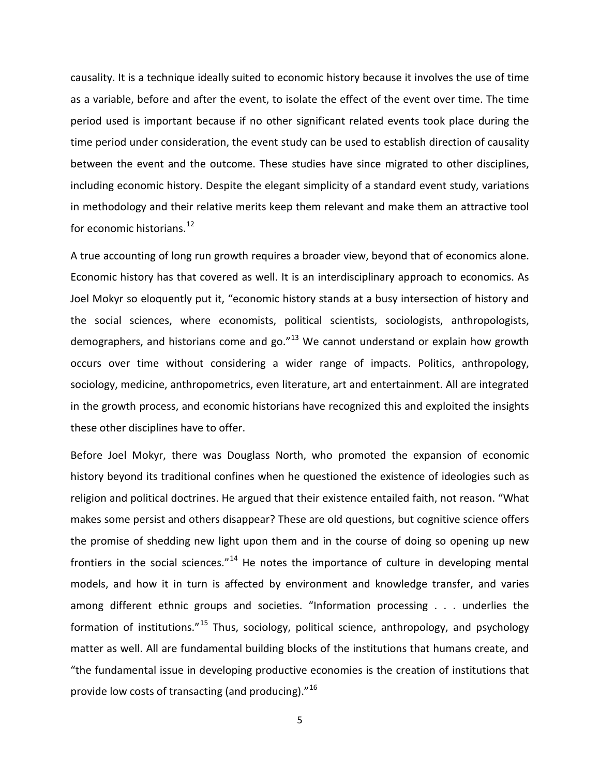causality. It is a technique ideally suited to economic history because it involves the use of time as a variable, before and after the event, to isolate the effect of the event over time. The time period used is important because if no other significant related events took place during the time period under consideration, the event study can be used to establish direction of causality between the event and the outcome. These studies have since migrated to other disciplines, including economic history. Despite the elegant simplicity of a standard event study, variations in methodology and their relative merits keep them relevant and make them an attractive tool for economic historians.<sup>[12](#page-30-9)</sup>

A true accounting of long run growth requires a broader view, beyond that of economics alone. Economic history has that covered as well. It is an interdisciplinary approach to economics. As Joel Mokyr so eloquently put it, "economic history stands at a busy intersection of history and the social sciences, where economists, political scientists, sociologists, anthropologists, demographers, and historians come and go. $n^{13}$  $n^{13}$  $n^{13}$  We cannot understand or explain how growth occurs over time without considering a wider range of impacts. Politics, anthropology, sociology, medicine, anthropometrics, even literature, art and entertainment. All are integrated in the growth process, and economic historians have recognized this and exploited the insights these other disciplines have to offer.

Before Joel Mokyr, there was Douglass North, who promoted the expansion of economic history beyond its traditional confines when he questioned the existence of ideologies such as religion and political doctrines. He argued that their existence entailed faith, not reason. "What makes some persist and others disappear? These are old questions, but cognitive science offers the promise of shedding new light upon them and in the course of doing so opening up new frontiers in the social sciences."<sup>[14](#page-30-11)</sup> He notes the importance of culture in developing mental models, and how it in turn is affected by environment and knowledge transfer, and varies among different ethnic groups and societies. "Information processing . . . underlies the formation of institutions."[15](#page-30-12) Thus, sociology, political science, anthropology, and psychology matter as well. All are fundamental building blocks of the institutions that humans create, and "the fundamental issue in developing productive economies is the creation of institutions that provide low costs of transacting (and producing)."<sup>[16](#page-30-13)</sup>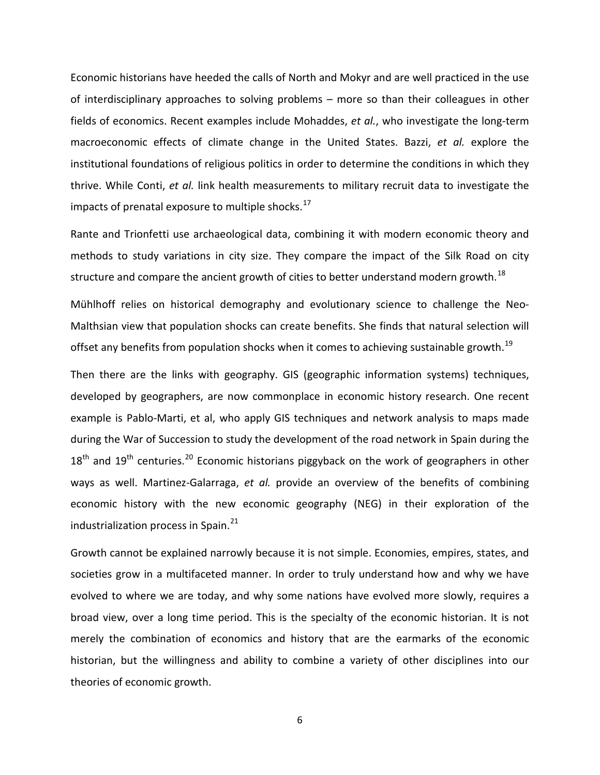Economic historians have heeded the calls of North and Mokyr and are well practiced in the use of interdisciplinary approaches to solving problems – more so than their colleagues in other fields of economics. Recent examples include Mohaddes, *et al.*, who investigate the long-term macroeconomic effects of climate change in the United States. Bazzi, *et al.* explore the institutional foundations of religious politics in order to determine the conditions in which they thrive. While Conti, *et al.* link health measurements to military recruit data to investigate the impacts of prenatal exposure to multiple shocks. $^{17}$  $^{17}$  $^{17}$ 

Rante and Trionfetti use archaeological data, combining it with modern economic theory and methods to study variations in city size. They compare the impact of the Silk Road on city structure and compare the ancient growth of cities to better understand modern growth.<sup>[18](#page-30-15)</sup>

Mühlhoff relies on historical demography and evolutionary science to challenge the Neo-Malthsian view that population shocks can create benefits. She finds that natural selection will offset any benefits from population shocks when it comes to achieving sustainable growth.<sup>[19](#page-30-16)</sup>

Then there are the links with geography. GIS (geographic information systems) techniques, developed by geographers, are now commonplace in economic history research. One recent example is Pablo-Marti, et al, who apply GIS techniques and network analysis to maps made during the War of Succession to study the development of the road network in Spain during the  $18<sup>th</sup>$  and  $19<sup>th</sup>$  centuries.<sup>[20](#page-30-17)</sup> Economic historians piggyback on the work of geographers in other ways as well. Martinez-Galarraga, *et al.* provide an overview of the benefits of combining economic history with the new economic geography (NEG) in their exploration of the industrialization process in Spain.<sup>[21](#page-30-18)</sup>

Growth cannot be explained narrowly because it is not simple. Economies, empires, states, and societies grow in a multifaceted manner. In order to truly understand how and why we have evolved to where we are today, and why some nations have evolved more slowly, requires a broad view, over a long time period. This is the specialty of the economic historian. It is not merely the combination of economics and history that are the earmarks of the economic historian, but the willingness and ability to combine a variety of other disciplines into our theories of economic growth.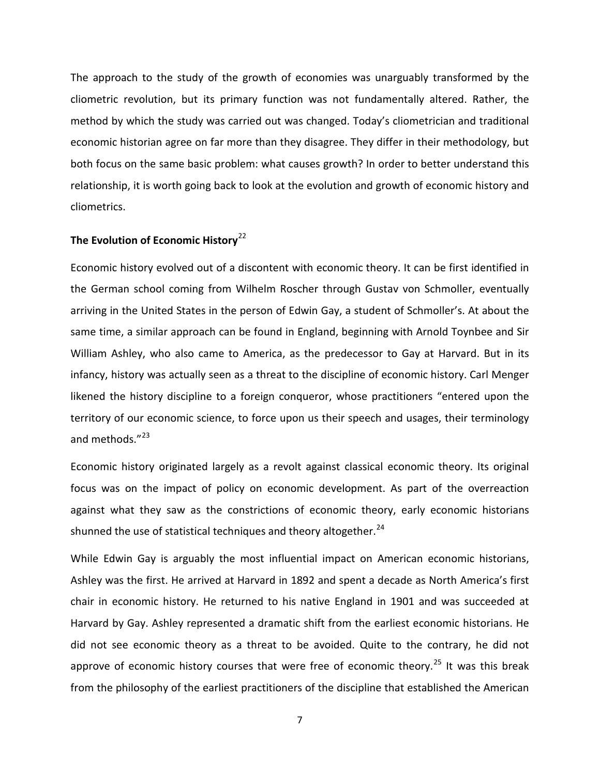The approach to the study of the growth of economies was unarguably transformed by the cliometric revolution, but its primary function was not fundamentally altered. Rather, the method by which the study was carried out was changed. Today's cliometrician and traditional economic historian agree on far more than they disagree. They differ in their methodology, but both focus on the same basic problem: what causes growth? In order to better understand this relationship, it is worth going back to look at the evolution and growth of economic history and cliometrics.

# **The Evolution of Economic History**[22](#page-30-19)

Economic history evolved out of a discontent with economic theory. It can be first identified in the German school coming from Wilhelm Roscher through Gustav von Schmoller, eventually arriving in the United States in the person of Edwin Gay, a student of Schmoller's. At about the same time, a similar approach can be found in England, beginning with Arnold Toynbee and Sir William Ashley, who also came to America, as the predecessor to Gay at Harvard. But in its infancy, history was actually seen as a threat to the discipline of economic history. Carl Menger likened the history discipline to a foreign conqueror, whose practitioners "entered upon the territory of our economic science, to force upon us their speech and usages, their terminology and methods."<sup>[23](#page-30-20)</sup>

Economic history originated largely as a revolt against classical economic theory. Its original focus was on the impact of policy on economic development. As part of the overreaction against what they saw as the constrictions of economic theory, early economic historians shunned the use of statistical techniques and theory altogether.<sup>[24](#page-30-21)</sup>

While Edwin Gay is arguably the most influential impact on American economic historians, Ashley was the first. He arrived at Harvard in 1892 and spent a decade as North America's first chair in economic history. He returned to his native England in 1901 and was succeeded at Harvard by Gay. Ashley represented a dramatic shift from the earliest economic historians. He did not see economic theory as a threat to be avoided. Quite to the contrary, he did not approve of economic history courses that were free of economic theory.<sup>[25](#page-30-22)</sup> It was this break from the philosophy of the earliest practitioners of the discipline that established the American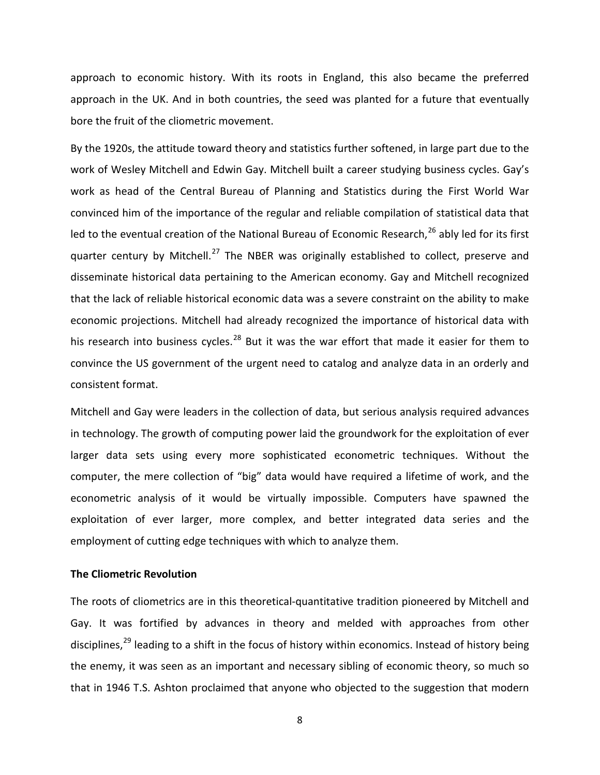approach to economic history. With its roots in England, this also became the preferred approach in the UK. And in both countries, the seed was planted for a future that eventually bore the fruit of the cliometric movement.

By the 1920s, the attitude toward theory and statistics further softened, in large part due to the work of Wesley Mitchell and Edwin Gay. Mitchell built a career studying business cycles. Gay's work as head of the Central Bureau of Planning and Statistics during the First World War convinced him of the importance of the regular and reliable compilation of statistical data that led to the eventual creation of the National Bureau of Economic Research,<sup>[26](#page-30-23)</sup> ably led for its first quarter century by Mitchell.<sup>[27](#page-30-24)</sup> The NBER was originally established to collect, preserve and disseminate historical data pertaining to the American economy. Gay and Mitchell recognized that the lack of reliable historical economic data was a severe constraint on the ability to make economic projections. Mitchell had already recognized the importance of historical data with his research into business cycles.<sup>[28](#page-30-25)</sup> But it was the war effort that made it easier for them to convince the US government of the urgent need to catalog and analyze data in an orderly and consistent format.

Mitchell and Gay were leaders in the collection of data, but serious analysis required advances in technology. The growth of computing power laid the groundwork for the exploitation of ever larger data sets using every more sophisticated econometric techniques. Without the computer, the mere collection of "big" data would have required a lifetime of work, and the econometric analysis of it would be virtually impossible. Computers have spawned the exploitation of ever larger, more complex, and better integrated data series and the employment of cutting edge techniques with which to analyze them.

#### **The Cliometric Revolution**

The roots of cliometrics are in this theoretical-quantitative tradition pioneered by Mitchell and Gay. It was fortified by advances in theory and melded with approaches from other disciplines,<sup>[29](#page-30-26)</sup> leading to a shift in the focus of history within economics. Instead of history being the enemy, it was seen as an important and necessary sibling of economic theory, so much so that in 1946 T.S. Ashton proclaimed that anyone who objected to the suggestion that modern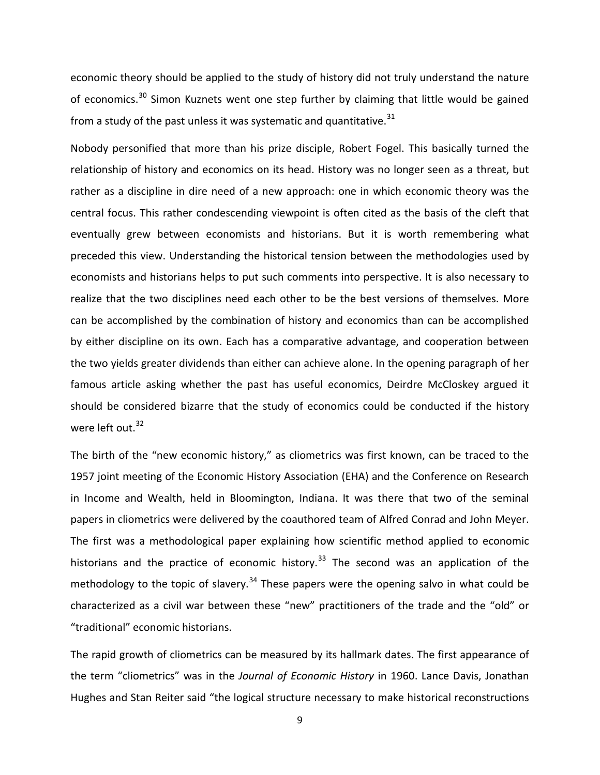economic theory should be applied to the study of history did not truly understand the nature of economics.<sup>[30](#page-30-27)</sup> Simon Kuznets went one step further by claiming that little would be gained from a study of the past unless it was systematic and quantitative.  $31$ 

Nobody personified that more than his prize disciple, Robert Fogel. This basically turned the relationship of history and economics on its head. History was no longer seen as a threat, but rather as a discipline in dire need of a new approach: one in which economic theory was the central focus. This rather condescending viewpoint is often cited as the basis of the cleft that eventually grew between economists and historians. But it is worth remembering what preceded this view. Understanding the historical tension between the methodologies used by economists and historians helps to put such comments into perspective. It is also necessary to realize that the two disciplines need each other to be the best versions of themselves. More can be accomplished by the combination of history and economics than can be accomplished by either discipline on its own. Each has a comparative advantage, and cooperation between the two yields greater dividends than either can achieve alone. In the opening paragraph of her famous article asking whether the past has useful economics, Deirdre McCloskey argued it should be considered bizarre that the study of economics could be conducted if the history were left out.<sup>[32](#page-30-29)</sup>

The birth of the "new economic history," as cliometrics was first known, can be traced to the 1957 joint meeting of the Economic History Association (EHA) and the Conference on Research in Income and Wealth, held in Bloomington, Indiana. It was there that two of the seminal papers in cliometrics were delivered by the coauthored team of Alfred Conrad and John Meyer. The first was a methodological paper explaining how scientific method applied to economic historians and the practice of economic history.<sup>[33](#page-30-30)</sup> The second was an application of the methodology to the topic of slavery.<sup>[34](#page-30-31)</sup> These papers were the opening salvo in what could be characterized as a civil war between these "new" practitioners of the trade and the "old" or "traditional" economic historians.

The rapid growth of cliometrics can be measured by its hallmark dates. The first appearance of the term "cliometrics" was in the *Journal of Economic History* in 1960. Lance Davis, Jonathan Hughes and Stan Reiter said "the logical structure necessary to make historical reconstructions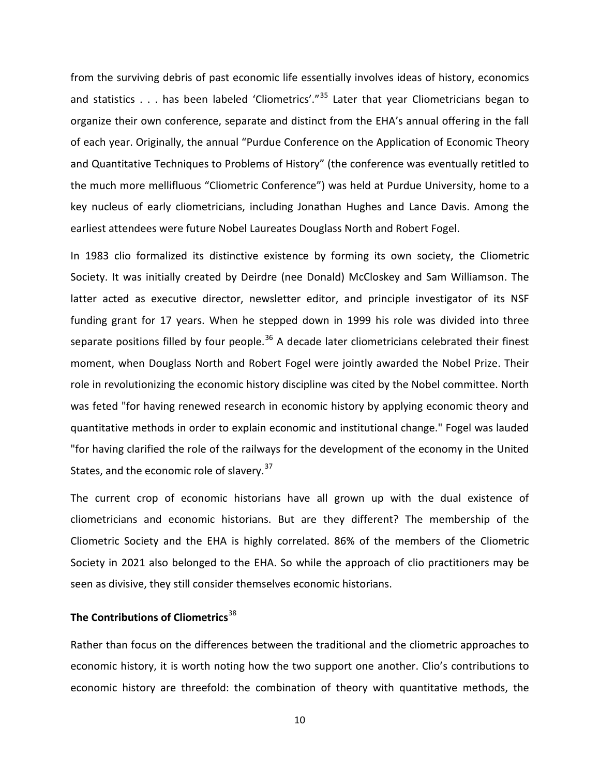from the surviving debris of past economic life essentially involves ideas of history, economics and statistics  $\ldots$  has been labeled 'Cliometrics'."<sup>[35](#page-30-32)</sup> Later that year Cliometricians began to organize their own conference, separate and distinct from the EHA's annual offering in the fall of each year. Originally, the annual "Purdue Conference on the Application of Economic Theory and Quantitative Techniques to Problems of History" (the conference was eventually retitled to the much more mellifluous "Cliometric Conference") was held at Purdue University, home to a key nucleus of early cliometricians, including Jonathan Hughes and Lance Davis. Among the earliest attendees were future Nobel Laureates Douglass North and Robert Fogel.

In 1983 clio formalized its distinctive existence by forming its own society, the Cliometric Society. It was initially created by Deirdre (nee Donald) McCloskey and Sam Williamson. The latter acted as executive director, newsletter editor, and principle investigator of its NSF funding grant for 17 years. When he stepped down in 1999 his role was divided into three separate positions filled by four people.<sup>[36](#page-30-33)</sup> A decade later cliometricians celebrated their finest moment, when Douglass North and Robert Fogel were jointly awarded the Nobel Prize. Their role in revolutionizing the economic history discipline was cited by the Nobel committee. North was feted "for having renewed research in economic history by applying economic theory and quantitative methods in order to explain economic and institutional change." Fogel was lauded "for having clarified the role of the railways for the development of the economy in the United States, and the economic role of slavery.<sup>[37](#page-30-34)</sup>

The current crop of economic historians have all grown up with the dual existence of cliometricians and economic historians. But are they different? The membership of the Cliometric Society and the EHA is highly correlated. 86% of the members of the Cliometric Society in 2021 also belonged to the EHA. So while the approach of clio practitioners may be seen as divisive, they still consider themselves economic historians.

### **The Contributions of Cliometrics**[38](#page-30-35)

Rather than focus on the differences between the traditional and the cliometric approaches to economic history, it is worth noting how the two support one another. Clio's contributions to economic history are threefold: the combination of theory with quantitative methods, the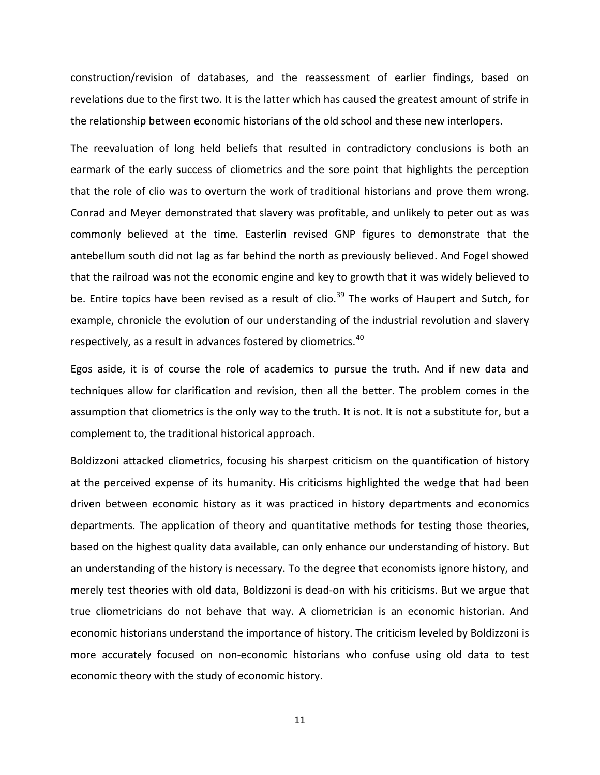construction/revision of databases, and the reassessment of earlier findings, based on revelations due to the first two. It is the latter which has caused the greatest amount of strife in the relationship between economic historians of the old school and these new interlopers.

The reevaluation of long held beliefs that resulted in contradictory conclusions is both an earmark of the early success of cliometrics and the sore point that highlights the perception that the role of clio was to overturn the work of traditional historians and prove them wrong. Conrad and Meyer demonstrated that slavery was profitable, and unlikely to peter out as was commonly believed at the time. Easterlin revised GNP figures to demonstrate that the antebellum south did not lag as far behind the north as previously believed. And Fogel showed that the railroad was not the economic engine and key to growth that it was widely believed to be. Entire topics have been revised as a result of clio.<sup>[39](#page-30-36)</sup> The works of Haupert and Sutch, for example, chronicle the evolution of our understanding of the industrial revolution and slavery respectively, as a result in advances fostered by cliometrics.<sup>[40](#page-30-37)</sup>

Egos aside, it is of course the role of academics to pursue the truth. And if new data and techniques allow for clarification and revision, then all the better. The problem comes in the assumption that cliometrics is the only way to the truth. It is not. It is not a substitute for, but a complement to, the traditional historical approach.

Boldizzoni attacked cliometrics, focusing his sharpest criticism on the quantification of history at the perceived expense of its humanity. His criticisms highlighted the wedge that had been driven between economic history as it was practiced in history departments and economics departments. The application of theory and quantitative methods for testing those theories, based on the highest quality data available, can only enhance our understanding of history. But an understanding of the history is necessary. To the degree that economists ignore history, and merely test theories with old data, Boldizzoni is dead-on with his criticisms. But we argue that true cliometricians do not behave that way. A cliometrician is an economic historian. And economic historians understand the importance of history. The criticism leveled by Boldizzoni is more accurately focused on non-economic historians who confuse using old data to test economic theory with the study of economic history.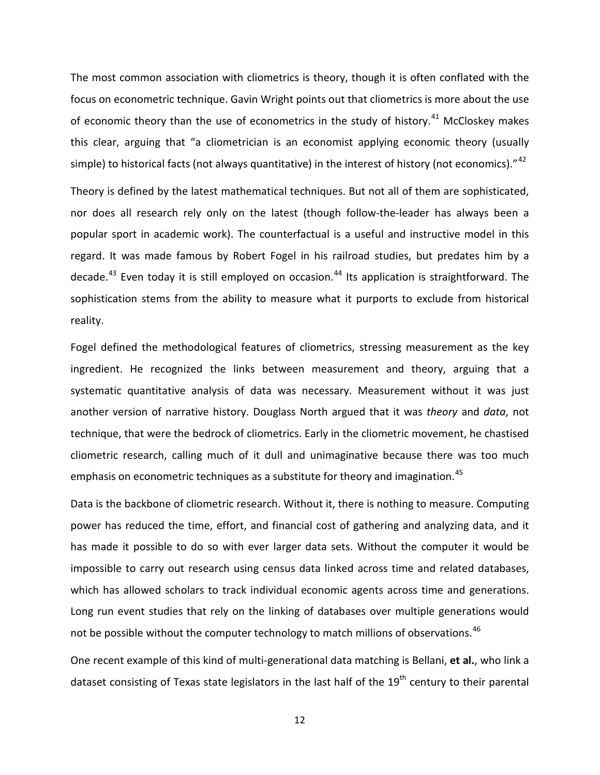The most common association with cliometrics is theory, though it is often conflated with the focus on econometric technique. Gavin Wright points out that cliometrics is more about the use of economic theory than the use of econometrics in the study of history.<sup>[41](#page-30-38)</sup> McCloskey makes this clear, arguing that "a cliometrician is an economist applying economic theory (usually simple) to historical facts (not always quantitative) in the interest of history (not economics)."<sup>[42](#page-30-39)</sup>

Theory is defined by the latest mathematical techniques. But not all of them are sophisticated, nor does all research rely only on the latest (though follow-the-leader has always been a popular sport in academic work). The counterfactual is a useful and instructive model in this regard. It was made famous by Robert Fogel in his railroad studies, but predates him by a decade.<sup>[43](#page-30-40)</sup> Even today it is still employed on occasion.<sup>[44](#page-30-41)</sup> Its application is straightforward. The sophistication stems from the ability to measure what it purports to exclude from historical reality.

Fogel defined the methodological features of cliometrics, stressing measurement as the key ingredient. He recognized the links between measurement and theory, arguing that a systematic quantitative analysis of data was necessary. Measurement without it was just another version of narrative history. Douglass North argued that it was *theory* and *data*, not technique, that were the bedrock of cliometrics. Early in the cliometric movement, he chastised cliometric research, calling much of it dull and unimaginative because there was too much emphasis on econometric techniques as a substitute for theory and imagination.<sup>[45](#page-30-42)</sup>

Data is the backbone of cliometric research. Without it, there is nothing to measure. Computing power has reduced the time, effort, and financial cost of gathering and analyzing data, and it has made it possible to do so with ever larger data sets. Without the computer it would be impossible to carry out research using census data linked across time and related databases, which has allowed scholars to track individual economic agents across time and generations. Long run event studies that rely on the linking of databases over multiple generations would not be possible without the computer technology to match millions of observations.<sup>[46](#page-30-43)</sup>

One recent example of this kind of multi-generational data matching is Bellani, **et al.**, who link a dataset consisting of Texas state legislators in the last half of the  $19<sup>th</sup>$  century to their parental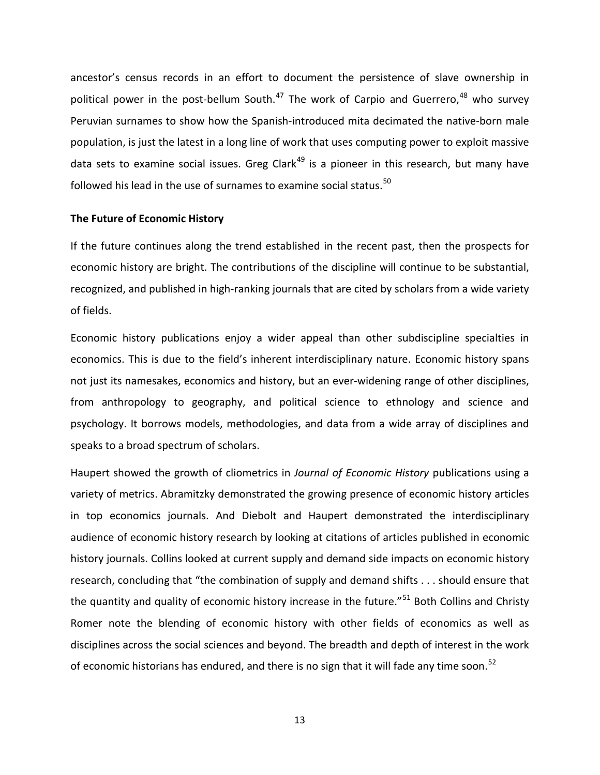ancestor's census records in an effort to document the persistence of slave ownership in political power in the post-bellum South.<sup>[47](#page-30-44)</sup> The work of Carpio and Guerrero,<sup>[48](#page-30-45)</sup> who survey Peruvian surnames to show how the Spanish-introduced mita decimated the native-born male population, is just the latest in a long line of work that uses computing power to exploit massive data sets to examine social issues. Greg Clark<sup>[49](#page-30-46)</sup> is a pioneer in this research, but many have followed his lead in the use of surnames to examine social status.<sup>[50](#page-30-47)</sup>

#### **The Future of Economic History**

If the future continues along the trend established in the recent past, then the prospects for economic history are bright. The contributions of the discipline will continue to be substantial, recognized, and published in high-ranking journals that are cited by scholars from a wide variety of fields.

Economic history publications enjoy a wider appeal than other subdiscipline specialties in economics. This is due to the field's inherent interdisciplinary nature. Economic history spans not just its namesakes, economics and history, but an ever-widening range of other disciplines, from anthropology to geography, and political science to ethnology and science and psychology. It borrows models, methodologies, and data from a wide array of disciplines and speaks to a broad spectrum of scholars.

Haupert showed the growth of cliometrics in *Journal of Economic History* publications using a variety of metrics. Abramitzky demonstrated the growing presence of economic history articles in top economics journals. And Diebolt and Haupert demonstrated the interdisciplinary audience of economic history research by looking at citations of articles published in economic history journals. Collins looked at current supply and demand side impacts on economic history research, concluding that "the combination of supply and demand shifts . . . should ensure that the quantity and quality of economic history increase in the future."<sup>[51](#page-30-48)</sup> Both Collins and Christy Romer note the blending of economic history with other fields of economics as well as disciplines across the social sciences and beyond. The breadth and depth of interest in the work of economic historians has endured, and there is no sign that it will fade any time soon.<sup>[52](#page-30-49)</sup>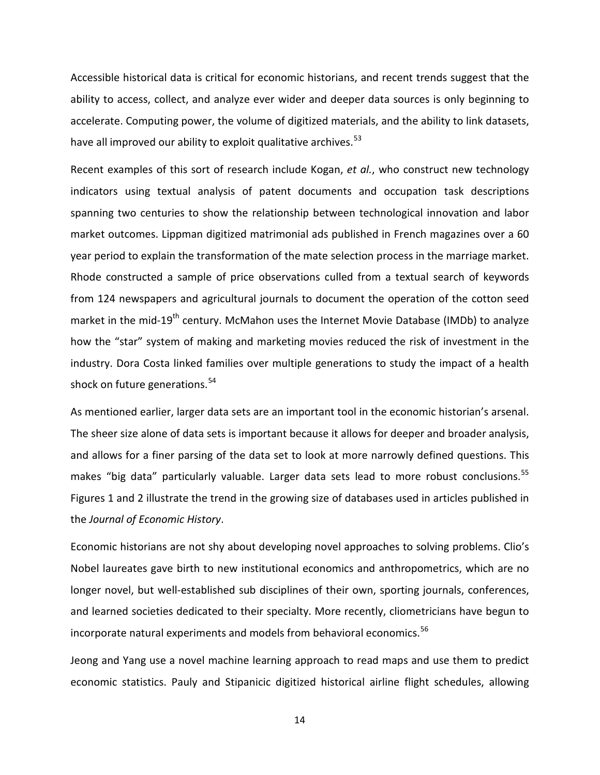Accessible historical data is critical for economic historians, and recent trends suggest that the ability to access, collect, and analyze ever wider and deeper data sources is only beginning to accelerate. Computing power, the volume of digitized materials, and the ability to link datasets, have all improved our ability to exploit qualitative archives.<sup>[53](#page-30-50)</sup>

Recent examples of this sort of research include Kogan, *et al.*, who construct new technology indicators using textual analysis of patent documents and occupation task descriptions spanning two centuries to show the relationship between technological innovation and labor market outcomes. Lippman digitized matrimonial ads published in French magazines over a 60 year period to explain the transformation of the mate selection process in the marriage market. Rhode constructed a sample of price observations culled from a textual search of keywords from 124 newspapers and agricultural journals to document the operation of the cotton seed market in the mid-19<sup>th</sup> century. McMahon uses the Internet Movie Database (IMDb) to analyze how the "star" system of making and marketing movies reduced the risk of investment in the industry. Dora Costa linked families over multiple generations to study the impact of a health shock on future generations.<sup>[54](#page-30-51)</sup>

As mentioned earlier, larger data sets are an important tool in the economic historian's arsenal. The sheer size alone of data sets is important because it allows for deeper and broader analysis, and allows for a finer parsing of the data set to look at more narrowly defined questions. This makes "big data" particularly valuable. Larger data sets lead to more robust conclusions.<sup>[55](#page-30-52)</sup> Figures 1 and 2 illustrate the trend in the growing size of databases used in articles published in the *Journal of Economic History*.

Economic historians are not shy about developing novel approaches to solving problems. Clio's Nobel laureates gave birth to new institutional economics and anthropometrics, which are no longer novel, but well-established sub disciplines of their own, sporting journals, conferences, and learned societies dedicated to their specialty. More recently, cliometricians have begun to incorporate natural experiments and models from behavioral economics. [56](#page-30-53)

Jeong and Yang use a novel machine learning approach to read maps and use them to predict economic statistics. Pauly and Stipanicic digitized historical airline flight schedules, allowing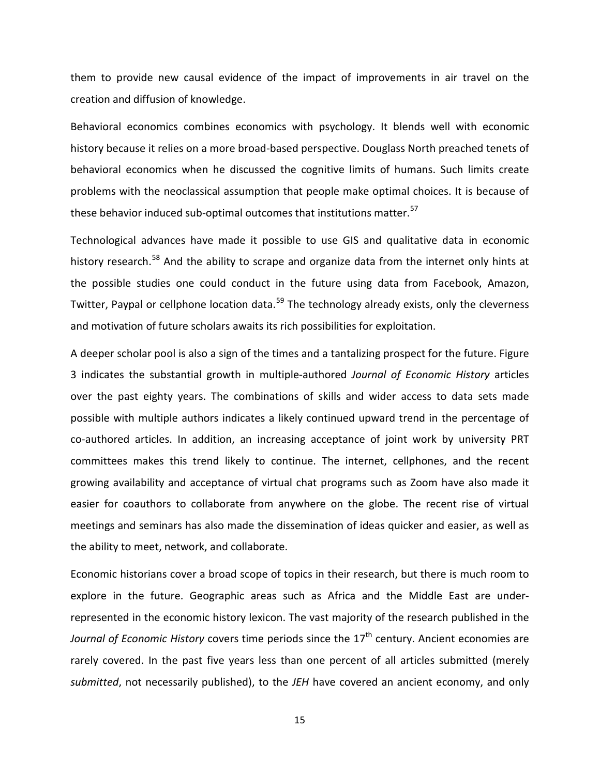them to provide new causal evidence of the impact of improvements in air travel on the creation and diffusion of knowledge.

Behavioral economics combines economics with psychology. It blends well with economic history because it relies on a more broad-based perspective. Douglass North preached tenets of behavioral economics when he discussed the cognitive limits of humans. Such limits create problems with the neoclassical assumption that people make optimal choices. It is because of these behavior induced sub-optimal outcomes that institutions matter.<sup>[57](#page-30-54)</sup>

Technological advances have made it possible to use GIS and qualitative data in economic history research.<sup>[58](#page-30-55)</sup> And the ability to scrape and organize data from the internet only hints at the possible studies one could conduct in the future using data from Facebook, Amazon, Twitter, Paypal or cellphone location data.<sup>[59](#page-30-56)</sup> The technology already exists, only the cleverness and motivation of future scholars awaits its rich possibilities for exploitation.

A deeper scholar pool is also a sign of the times and a tantalizing prospect for the future. Figure 3 indicates the substantial growth in multiple-authored *Journal of Economic History* articles over the past eighty years. The combinations of skills and wider access to data sets made possible with multiple authors indicates a likely continued upward trend in the percentage of co-authored articles. In addition, an increasing acceptance of joint work by university PRT committees makes this trend likely to continue. The internet, cellphones, and the recent growing availability and acceptance of virtual chat programs such as Zoom have also made it easier for coauthors to collaborate from anywhere on the globe. The recent rise of virtual meetings and seminars has also made the dissemination of ideas quicker and easier, as well as the ability to meet, network, and collaborate.

Economic historians cover a broad scope of topics in their research, but there is much room to explore in the future. Geographic areas such as Africa and the Middle East are underrepresented in the economic history lexicon. The vast majority of the research published in the *Journal of Economic History* covers time periods since the 17<sup>th</sup> century. Ancient economies are rarely covered. In the past five years less than one percent of all articles submitted (merely *submitted*, not necessarily published), to the *JEH* have covered an ancient economy, and only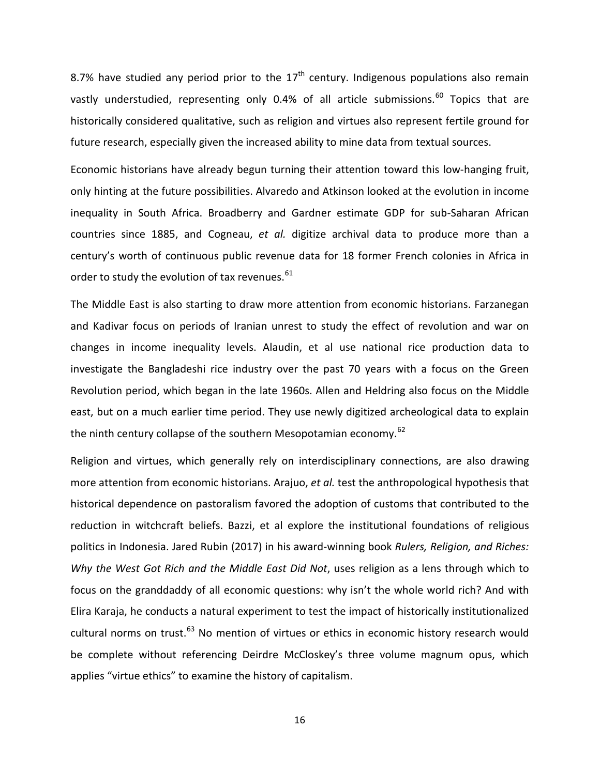8.7% have studied any period prior to the  $17<sup>th</sup>$  century. Indigenous populations also remain vastly understudied, representing only 0.4% of all article submissions.<sup>[60](#page-30-57)</sup> Topics that are historically considered qualitative, such as religion and virtues also represent fertile ground for future research, especially given the increased ability to mine data from textual sources.

Economic historians have already begun turning their attention toward this low-hanging fruit, only hinting at the future possibilities. Alvaredo and Atkinson looked at the evolution in income inequality in South Africa. Broadberry and Gardner estimate GDP for sub-Saharan African countries since 1885, and Cogneau, *et al.* digitize archival data to produce more than a century's worth of continuous public revenue data for 18 former French colonies in Africa in order to study the evolution of tax revenues. $61$ 

The Middle East is also starting to draw more attention from economic historians. Farzanegan and Kadivar focus on periods of Iranian unrest to study the effect of revolution and war on changes in income inequality levels. Alaudin, et al use national rice production data to investigate the Bangladeshi rice industry over the past 70 years with a focus on the Green Revolution period, which began in the late 1960s. Allen and Heldring also focus on the Middle east, but on a much earlier time period. They use newly digitized archeological data to explain the ninth century collapse of the southern Mesopotamian economy. $62$ 

Religion and virtues, which generally rely on interdisciplinary connections, are also drawing more attention from economic historians. Arajuo, *et al.* test the anthropological hypothesis that historical dependence on pastoralism favored the adoption of customs that contributed to the reduction in witchcraft beliefs. Bazzi, et al explore the institutional foundations of religious politics in Indonesia. Jared Rubin (2017) in his award-winning book *Rulers, Religion, and Riches: Why the West Got Rich and the Middle East Did Not*, uses religion as a lens through which to focus on the granddaddy of all economic questions: why isn't the whole world rich? And with Elira Karaja, he conducts a natural experiment to test the impact of historically institutionalized cultural norms on trust.<sup>[63](#page-30-60)</sup> No mention of virtues or ethics in economic history research would be complete without referencing Deirdre McCloskey's three volume magnum opus, which applies "virtue ethics" to examine the history of capitalism.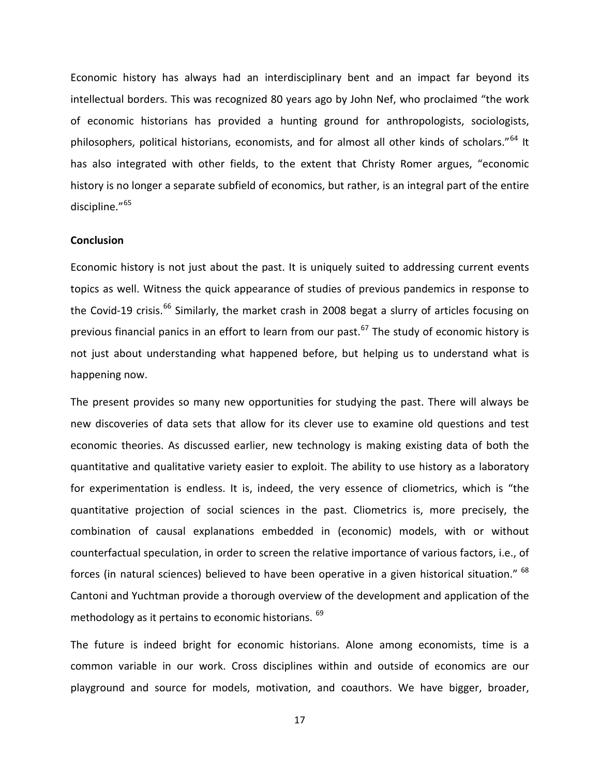Economic history has always had an interdisciplinary bent and an impact far beyond its intellectual borders. This was recognized 80 years ago by John Nef, who proclaimed "the work of economic historians has provided a hunting ground for anthropologists, sociologists, philosophers, political historians, economists, and for almost all other kinds of scholars."<sup>[64](#page-30-61)</sup> It has also integrated with other fields, to the extent that Christy Romer argues, "economic history is no longer a separate subfield of economics, but rather, is an integral part of the entire discipline."[65](#page-30-62)

#### **Conclusion**

Economic history is not just about the past. It is uniquely suited to addressing current events topics as well. Witness the quick appearance of studies of previous pandemics in response to the Covid-19 crisis.<sup>[66](#page-30-63)</sup> Similarly, the market crash in 2008 begat a slurry of articles focusing on previous financial panics in an effort to learn from our past.<sup>[67](#page-30-64)</sup> The study of economic history is not just about understanding what happened before, but helping us to understand what is happening now.

The present provides so many new opportunities for studying the past. There will always be new discoveries of data sets that allow for its clever use to examine old questions and test economic theories. As discussed earlier, new technology is making existing data of both the quantitative and qualitative variety easier to exploit. The ability to use history as a laboratory for experimentation is endless. It is, indeed, the very essence of cliometrics, which is "the quantitative projection of social sciences in the past. Cliometrics is, more precisely, the combination of causal explanations embedded in (economic) models, with or without counterfactual speculation, in order to screen the relative importance of various factors, i.e., of forces (in natural sciences) believed to have been operative in a given historical situation." <sup>[68](#page-30-65)</sup> Cantoni and Yuchtman provide a thorough overview of the development and application of the methodology as it pertains to economic historians. <sup>[69](#page-30-66)</sup>

The future is indeed bright for economic historians. Alone among economists, time is a common variable in our work. Cross disciplines within and outside of economics are our playground and source for models, motivation, and coauthors. We have bigger, broader,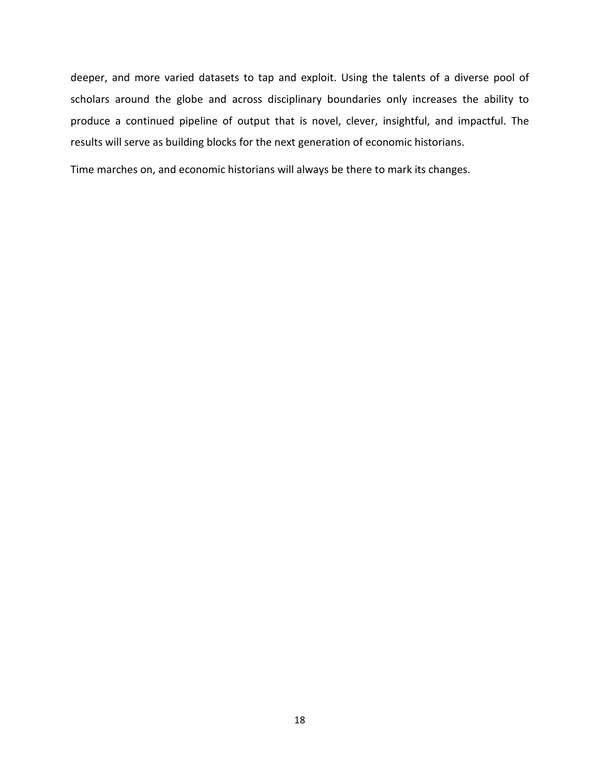deeper, and more varied datasets to tap and exploit. Using the talents of a diverse pool of scholars around the globe and across disciplinary boundaries only increases the ability to produce a continued pipeline of output that is novel, clever, insightful, and impactful. The results will serve as building blocks for the next generation of economic historians.

Time marches on, and economic historians will always be there to mark its changes.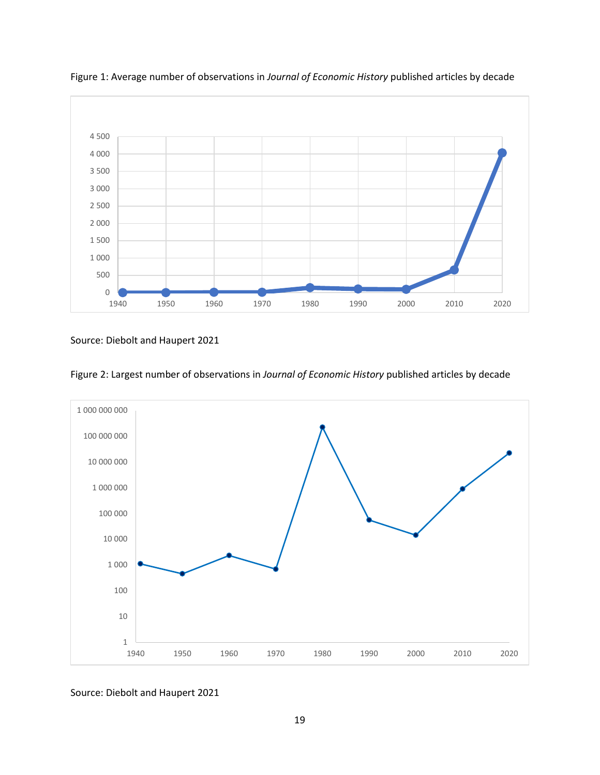

Figure 1: Average number of observations in *Journal of Economic History* published articles by decade

Source: Diebolt and Haupert 2021



Figure 2: Largest number of observations in *Journal of Economic History* published articles by decade

Source: Diebolt and Haupert 2021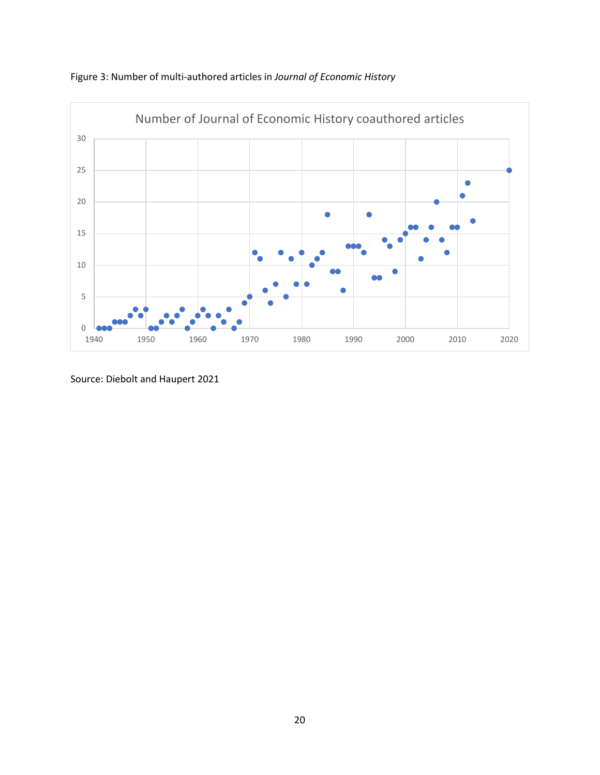



Source: Diebolt and Haupert 2021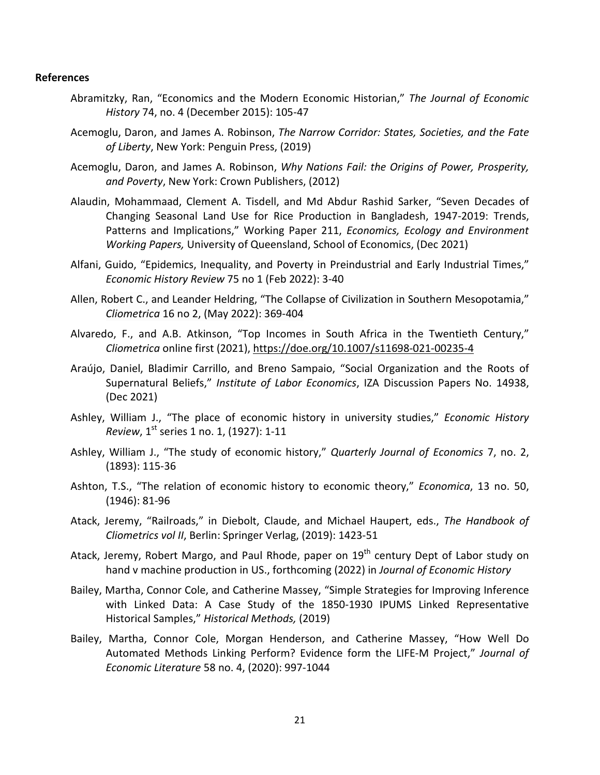#### **References**

- Abramitzky, Ran, "Economics and the Modern Economic Historian," *The Journal of Economic History* 74, no. 4 (December 2015): 105-47
- Acemoglu, Daron, and James A. Robinson, *The Narrow Corridor: States, Societies, and the Fate of Liberty*, New York: Penguin Press, (2019)
- Acemoglu, Daron, and James A. Robinson, *Why Nations Fail: the Origins of Power, Prosperity, and Poverty*, New York: Crown Publishers, (2012)
- Alaudin, Mohammaad, Clement A. Tisdell, and Md Abdur Rashid Sarker, "Seven Decades of Changing Seasonal Land Use for Rice Production in Bangladesh, 1947-2019: Trends, Patterns and Implications," Working Paper 211, *Economics, Ecology and Environment Working Papers,* University of Queensland, School of Economics, (Dec 2021)
- Alfani, Guido, "Epidemics, Inequality, and Poverty in Preindustrial and Early Industrial Times," *Economic History Review* 75 no 1 (Feb 2022): 3-40
- Allen, Robert C., and Leander Heldring, "The Collapse of Civilization in Southern Mesopotamia," *Cliometrica* 16 no 2, (May 2022): 369-404
- Alvaredo, F., and A.B. Atkinson, "Top Incomes in South Africa in the Twentieth Century," *Cliometrica* online first (2021),<https://doe.org/10.1007/s11698-021-00235-4>
- [Araújo,](http://econpapers.repec.org/scripts/search.pf?aus=Ara%C3%BAjo,Daniel) Daniel, Bladimir [Carrillo,](http://econpapers.repec.org/scripts/search.pf?aus=Carrillo,Bladimir) and Breno [Sampaio,](http://econpapers.repec.org/scripts/search.pf?aus=Sampaio,%20Breno) "Social [Organization](http://econpapers.repec.org/RePEc:iza:izadps:dp14938) and the Roots of [Supernatural](http://econpapers.repec.org/RePEc:iza:izadps:dp14938) Beliefs," *Institute of Labor Economics*, IZA Discussion Papers No. 14938, (Dec 2021)
- Ashley, William J., "The place of economic history in university studies," *Economic History Review*, 1<sup>st</sup> series 1 no. 1, (1927): 1-11
- Ashley, William J., "The study of economic history," *Quarterly Journal of Economics* 7, no. 2, (1893): 115-36
- Ashton, T.S., "The relation of economic history to economic theory," *Economica*, 13 no. 50, (1946): 81-96
- Atack, Jeremy, "Railroads," in Diebolt, Claude, and Michael Haupert, eds., *The Handbook of Cliometrics vol II*, Berlin: Springer Verlag, (2019): 1423-51
- Atack, Jeremy, Robert Margo, and Paul Rhode, paper on  $19<sup>th</sup>$  century Dept of Labor study on hand v machine production in US., forthcoming (2022) in *Journal of Economic History*
- Bailey, Martha, Connor Cole, and Catherine Massey, "Simple Strategies for Improving Inference with Linked Data: A Case Study of the 1850-1930 IPUMS Linked Representative Historical Samples," *Historical Methods,* (2019)
- Bailey, Martha, Connor Cole, Morgan Henderson, and Catherine Massey, "How Well Do Automated Methods Linking Perform? Evidence form the LIFE-M Project," *Journal of Economic Literature* 58 no. 4, (2020): 997-1044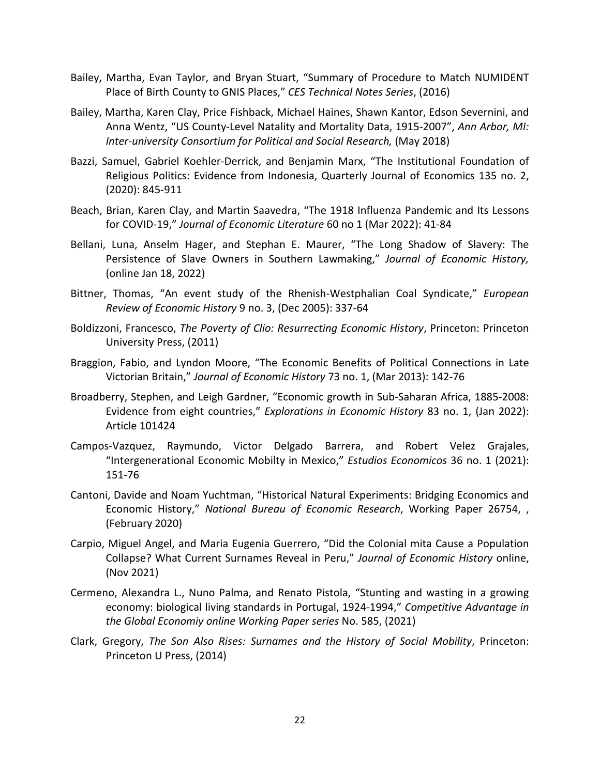- Bailey, Martha, Evan Taylor, and Bryan Stuart, "Summary of Procedure to Match NUMIDENT Place of Birth County to GNIS Places," *CES Technical Notes Series*, (2016)
- Bailey, Martha, Karen Clay, Price Fishback, Michael Haines, Shawn Kantor, Edson Severnini, and Anna Wentz, "US County-Level Natality and Mortality Data, 1915-2007", *Ann Arbor, MI: Inter-university Consortium for Political and Social Research,* (May 2018)
- Bazzi, Samuel, Gabriel Koehler-Derrick, and Benjamin Marx, "The Institutional Foundation of Religious Politics: Evidence from Indonesia, Quarterly Journal of Economics 135 no. 2, (2020): 845-911
- Beach, Brian, Karen Clay, and Martin Saavedra, "The 1918 Influenza Pandemic and Its Lessons for COVID-19," *Journal of Economic Literature* 60 no 1 (Mar 2022): 41-84
- Bellani, Luna, Anselm Hager, and Stephan E. Maurer, "The Long Shadow of Slavery: The Persistence of Slave Owners in Southern Lawmaking," *Journal of Economic History,* (online Jan 18, 2022)
- Bittner, Thomas, "An event study of the Rhenish-Westphalian Coal Syndicate," *European Review of Economic History* 9 no. 3, (Dec 2005): 337-64
- Boldizzoni, Francesco, *The Poverty of Clio: Resurrecting Economic History*, Princeton: Princeton University Press, (2011)
- Braggion, Fabio, and Lyndon Moore, "The Economic Benefits of Political Connections in Late Victorian Britain," *Journal of Economic History* 73 no. 1, (Mar 2013): 142-76
- Broadberry, Stephen, and Leigh Gardner, "Economic growth in Sub-Saharan Africa, 1885-2008: Evidence from eight countries," *Explorations in Economic History* 83 no. 1, (Jan 2022): Article 101424
- Campos-Vazquez, Raymundo, Victor Delgado Barrera, and Robert Velez Grajales, "Intergenerational Economic Mobilty in Mexico," *Estudios Economicos* 36 no. 1 (2021): 151-76
- Cantoni, Davide and Noam Yuchtman, "Historical Natural Experiments: Bridging Economics and Economic History," *National Bureau of Economic Research*, Working Paper 26754, , (February 2020)
- Carpio, Miguel Angel, and Maria Eugenia Guerrero, "Did the Colonial mita Cause a Population Collapse? What Current Surnames Reveal in Peru," *Journal of Economic History* online, (Nov 2021)
- Cermeno, Alexandra L., Nuno Palma, and Renato Pistola, "Stunting and wasting in a growing economy: biological living standards in Portugal, 1924-1994," *Competitive Advantage in the Global Economiy online Working Paper series* No. 585, (2021)
- Clark, Gregory, *The Son Also Rises: Surnames and the History of Social Mobility*, Princeton: Princeton U Press, (2014)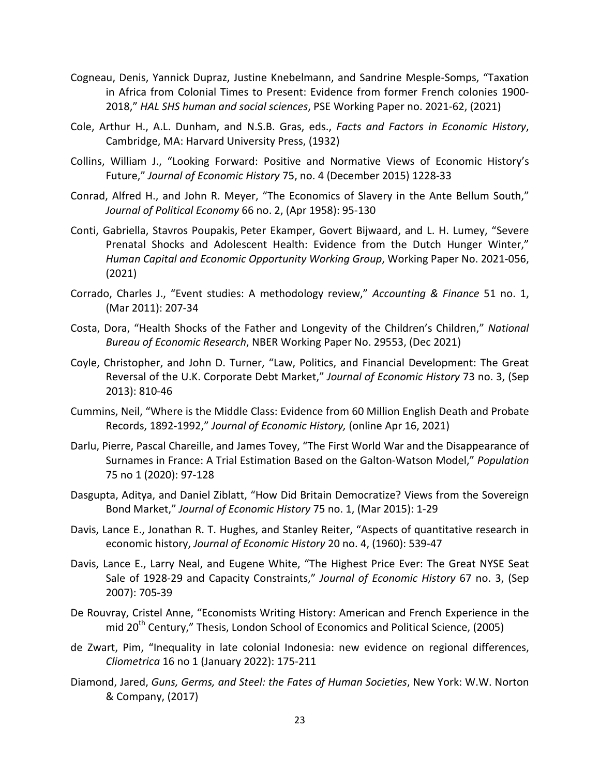- Cogneau, Denis, Yannick Dupraz, Justine Knebelmann, and Sandrine Mesple-Somps, "Taxation in Africa from Colonial Times to Present: Evidence from former French colonies 1900- 2018," *HAL SHS human and social sciences*, PSE Working Paper no. 2021-62, (2021)
- Cole, Arthur H., A.L. Dunham, and N.S.B. Gras, eds., *Facts and Factors in Economic History*, Cambridge, MA: Harvard University Press, (1932)
- Collins, William J., "Looking Forward: Positive and Normative Views of Economic History's Future," *Journal of Economic History* 75, no. 4 (December 2015) 1228-33
- Conrad, Alfred H., and John R. Meyer, "The Economics of Slavery in the Ante Bellum South," *Journal of Political Economy* 66 no. 2, (Apr 1958): 95-130
- Conti, Gabriella, Stavros [Poupakis,](http://econpapers.repec.org/scripts/search.pf?aus=StavrosPoupakis) Peter [Ekamper,](http://econpapers.repec.org/scripts/search.pf?aus=Peter%20Ekamper) Govert [Bijwaard,](http://econpapers.repec.org/scripts/search.pf?aus=Govert%20Bijwaard) and L. H. [Lumey,](http://econpapers.repec.org/scripts/search.pf?aus=L.%20H.%20Lumey) ["Severe](http://econpapers.repec.org/RePEc:hka:wpaper:2021-056) Prenatal Shocks and [Adolescent](http://econpapers.repec.org/RePEc:hka:wpaper:2021-056) Health: Evidence from the Dutch Hunger Winter," *Human Capital and Economic Opportunity Working Group*, Working Paper No. 2021-056, (2021)
- Corrado, Charles J., "Event studies: A methodology review," *Accounting & Finance* 51 no. 1, (Mar 2011): 207-34
- Costa, Dora, "Health Shocks of the Father and Longevity of the Children's Children," *National Bureau of Economic Research*, NBER Working Paper No. 29553, (Dec 2021)
- Coyle, Christopher, and John D. Turner, "Law, Politics, and Financial Development: The Great Reversal of the U.K. Corporate Debt Market," *Journal of Economic History* 73 no. 3, (Sep 2013): 810-46
- Cummins, Neil, "Where is the Middle Class: Evidence from 60 Million English Death and Probate Records, 1892-1992," *Journal of Economic History,* (online Apr 16, 2021)
- Darlu, Pierre, Pascal Chareille, and James Tovey, "The First World War and the Disappearance of Surnames in France: A Trial Estimation Based on the Galton-Watson Model," *Population* 75 no 1 (2020): 97-128
- Dasgupta, Aditya, and Daniel Ziblatt, "How Did Britain Democratize? Views from the Sovereign Bond Market," *Journal of Economic History* 75 no. 1, (Mar 2015): 1-29
- Davis, Lance E., Jonathan R. T. Hughes, and Stanley Reiter, "Aspects of quantitative research in economic history, *Journal of Economic History* 20 no. 4, (1960): 539-47
- Davis, Lance E., Larry Neal, and Eugene White, "The Highest Price Ever: The Great NYSE Seat Sale of 1928-29 and Capacity Constraints," *Journal of Economic History* 67 no. 3, (Sep 2007): 705-39
- De Rouvray, Cristel Anne, "Economists Writing History: American and French Experience in the mid 20<sup>th</sup> Century," Thesis, London School of Economics and Political Science, (2005)
- de Zwart, Pim, "Inequality in late colonial Indonesia: new evidence on regional differences, *Cliometrica* 16 no 1 (January 2022): 175-211
- Diamond, Jared, *Guns, Germs, and Steel: the Fates of Human Societies*, New York: W.W. Norton & Company, (2017)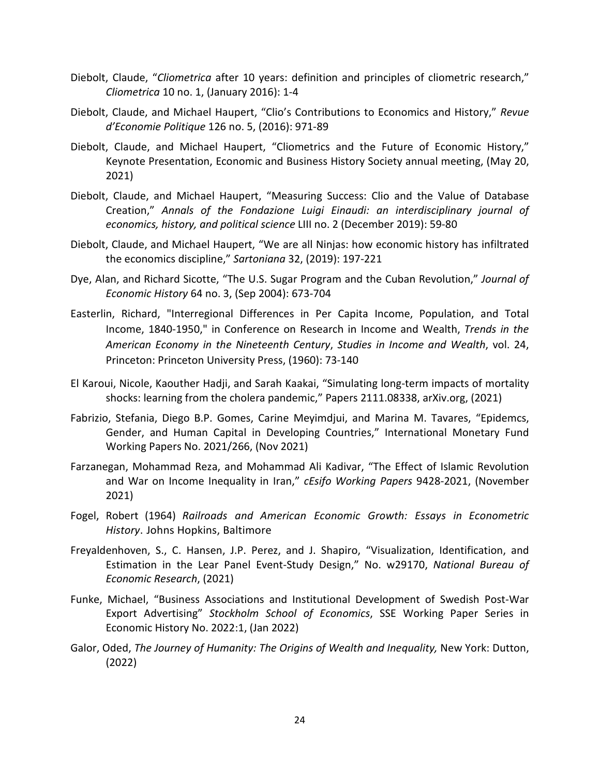- Diebolt, Claude, "*Cliometrica* after 10 years: definition and principles of cliometric research," *Cliometrica* 10 no. 1, (January 2016): 1-4
- Diebolt, Claude, and Michael Haupert, "Clio's Contributions to Economics and History," *Revue d'Economie Politique* 126 no. 5, (2016): 971-89
- Diebolt, Claude, and Michael Haupert, "Cliometrics and the Future of Economic History," Keynote Presentation, Economic and Business History Society annual meeting, (May 20, 2021)
- Diebolt, Claude, and Michael Haupert, "Measuring Success: Clio and the Value of Database Creation," *Annals of the Fondazione Luigi Einaudi: an interdisciplinary journal of economics, history, and political science* LIII no. 2 (December 2019): 59-80
- Diebolt, Claude, and Michael Haupert, "We are all Ninjas: how economic history has infiltrated the economics discipline," *Sartoniana* 32, (2019): 197-221
- Dye, Alan, and Richard Sicotte, "The U.S. Sugar Program and the Cuban Revolution," *Journal of Economic History* 64 no. 3, (Sep 2004): 673-704
- Easterlin, Richard, "Interregional Differences in Per Capita Income, Population, and Total Income, 1840-1950," in Conference on Research in Income and Wealth, *Trends in the American Economy in the Nineteenth Century*, *Studies in Income and Wealth*, vol. 24, Princeton: Princeton University Press, (1960): 73-140
- El Karoui, Nicole, Kaouther Hadji, and Sarah Kaakai, "Simulating long-term impacts of mortality shocks: learning from the cholera pandemic," Papers 2111.08338, arXiv.org, (2021)
- Fabrizio, Stefania, Diego B.P. Gomes, Carine Meyimdjui, and Marina M. Tavares, "Epidemcs, Gender, and Human Capital in Developing Countries," International Monetary Fund Working Papers No. 2021/266, (Nov 2021)
- Farzanegan, Mohammad Reza, and Mohammad Ali Kadivar, "The Effect of Islamic Revolution and War on Income Inequality in Iran," *cEsifo Working Papers* 9428-2021, (November 2021)
- Fogel, Robert (1964) *Railroads and American Economic Growth: Essays in Econometric History*. Johns Hopkins, Baltimore
- Freyaldenhoven, S., C. Hansen, J.P. Perez, and J. Shapiro, "Visualization, Identification, and Estimation in the Lear Panel Event-Study Design," No. w29170, *National Bureau of Economic Research*, (2021)
- Funke, Michael, "Business Associations and Institutional Development of Swedish Post-War Export Advertising" *Stockholm School of Economics*, SSE Working Paper Series in Economic History No. 2022:1, (Jan 2022)
- Galor, Oded, *The Journey of Humanity: The Origins of Wealth and Inequality,* New York: Dutton, (2022)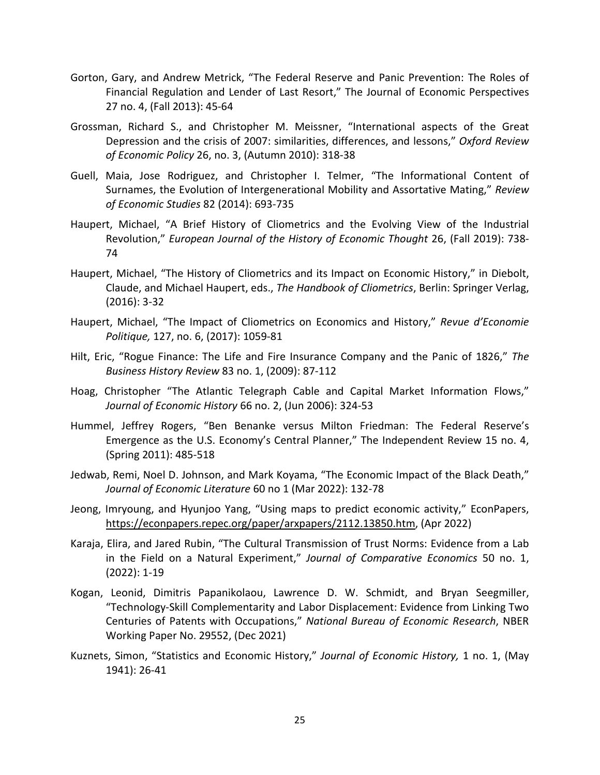- Gorton, Gary, and Andrew Metrick, "The Federal Reserve and Panic Prevention: The Roles of Financial Regulation and Lender of Last Resort," The Journal of Economic Perspectives 27 no. 4, (Fall 2013): 45-64
- Grossman, Richard S., and Christopher M. Meissner, "International aspects of the Great Depression and the crisis of 2007: similarities, differences, and lessons," *Oxford Review of Economic Policy* 26, no. 3, (Autumn 2010): 318-38
- Guell, Maia, Jose Rodriguez, and Christopher I. Telmer, "The Informational Content of Surnames, the Evolution of Intergenerational Mobility and Assortative Mating," *Review of Economic Studies* 82 (2014): 693-735
- Haupert, Michael, "A Brief History of Cliometrics and the Evolving View of the Industrial Revolution," *European Journal of the History of Economic Thought* 26, (Fall 2019): 738- 74
- Haupert, Michael, "The History of Cliometrics and its Impact on Economic History," in Diebolt, Claude, and Michael Haupert, eds., *The Handbook of Cliometrics*, Berlin: Springer Verlag, (2016): 3-32
- Haupert, Michael, "The Impact of Cliometrics on Economics and History," *Revue d'Economie Politique,* 127, no. 6, (2017): 1059-81
- Hilt, Eric, "Rogue Finance: The Life and Fire Insurance Company and the Panic of 1826," *The Business History Review* 83 no. 1, (2009): 87-112
- Hoag, Christopher "The Atlantic Telegraph Cable and Capital Market Information Flows," *Journal of Economic History* 66 no. 2, (Jun 2006): 324-53
- Hummel, Jeffrey Rogers, "Ben Benanke versus Milton Friedman: The Federal Reserve's Emergence as the U.S. Economy's Central Planner," The Independent Review 15 no. 4, (Spring 2011): 485-518
- Jedwab, Remi, Noel D. Johnson, and Mark Koyama, "The Economic Impact of the Black Death," *Journal of Economic Literature* 60 no 1 (Mar 2022): 132-78
- Jeong, Imryoung, and Hyunjoo Yang, "Using maps to predict economic activity," EconPapers, [https://econpapers.repec.org/paper/arxpapers/2112.13850.htm,](https://econpapers.repec.org/paper/arxpapers/2112.13850.htm) (Apr 2022)
- Karaja, Elira, and Jared Rubin, "The Cultural Transmission of Trust Norms: Evidence from a Lab in the Field on a Natural Experiment," *Journal of Comparative Economics* 50 no. 1, (2022): 1-19
- Kogan, Leonid, Dimitris Papanikolaou, Lawrence D. W. Schmidt, and Bryan Seegmiller, "Technology-Skill Complementarity and Labor Displacement: Evidence from Linking Two Centuries of Patents with Occupations," *National Bureau of Economic Research*, NBER Working Paper No. 29552, (Dec 2021)
- Kuznets, Simon, "Statistics and Economic History," *Journal of Economic History,* 1 no. 1, (May 1941): 26-41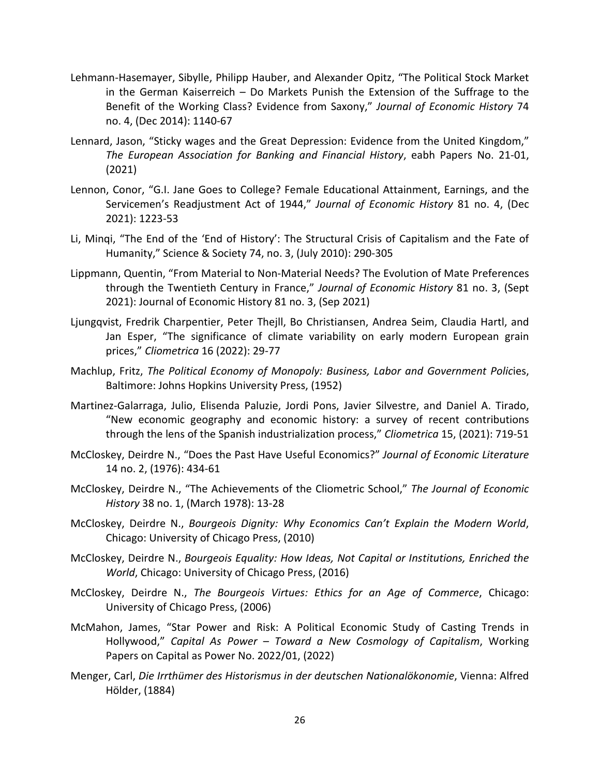- Lehmann-Hasemayer, Sibylle, Philipp Hauber, and Alexander Opitz, "The Political Stock Market in the German Kaiserreich – Do Markets Punish the Extension of the Suffrage to the Benefit of the Working Class? Evidence from Saxony," *Journal of Economic History* 74 no. 4, (Dec 2014): 1140-67
- Lennard, Jason, "Sticky wages and the Great Depression: Evidence from the United Kingdom," *The European Association for Banking and Financial History*, eabh Papers No. 21-01, (2021)
- Lennon, Conor, "G.I. Jane Goes to College? Female Educational Attainment, Earnings, and the Servicemen's Readjustment Act of 1944," *Journal of Economic History* 81 no. 4, (Dec 2021): 1223-53
- Li, Minqi, "The End of the 'End of History': The Structural Crisis of Capitalism and the Fate of Humanity," Science & Society 74, no. 3, (July 2010): 290-305
- Lippmann, Quentin, "From Material to Non-Material Needs? The Evolution of Mate Preferences through the Twentieth Century in France," *Journal of Economic History* 81 no. 3, (Sept 2021): Journal of Economic History 81 no. 3, (Sep 2021)
- Ljungqvist, Fredrik Charpentier, Peter Thejll, Bo Christiansen, Andrea Seim, Claudia Hartl, and Jan Esper, "The significance of climate variability on early modern European grain prices," *Cliometrica* 16 (2022): 29-77
- Machlup, Fritz, *The Political Economy of Monopoly: Business, Labor and Government Polic*ies, Baltimore: Johns Hopkins University Press, (1952)
- Martinez-Galarraga, Julio, Elisenda Paluzie, Jordi Pons, Javier Silvestre, and Daniel A. Tirado, "New economic geography and economic history: a survey of recent contributions through the lens of the Spanish industrialization process," *Cliometrica* 15, (2021): 719-51
- McCloskey, Deirdre N., "Does the Past Have Useful Economics?" *Journal of Economic Literature* 14 no. 2, (1976): 434-61
- McCloskey, Deirdre N., "The Achievements of the Cliometric School," *The Journal of Economic History* 38 no. 1, (March 1978): 13-28
- McCloskey, Deirdre N., *Bourgeois Dignity: Why Economics Can't Explain the Modern World*, Chicago: University of Chicago Press, (2010)
- McCloskey, Deirdre N., *Bourgeois Equality: How Ideas, Not Capital or Institutions, Enriched the World*, Chicago: University of Chicago Press, (2016)
- McCloskey, Deirdre N., *The Bourgeois Virtues: Ethics for an Age of Commerce*, Chicago: University of Chicago Press, (2006)
- McMahon, James, "Star Power and Risk: A Political Economic Study of Casting Trends in Hollywood," *Capital As Power – Toward a New Cosmology of Capitalism*, Working Papers on Capital as Power No. 2022/01, (2022)
- Menger, Carl, *Die Irrthümer des Historismus in der deutschen Nationalökonomie*, Vienna: Alfred Hölder, (1884)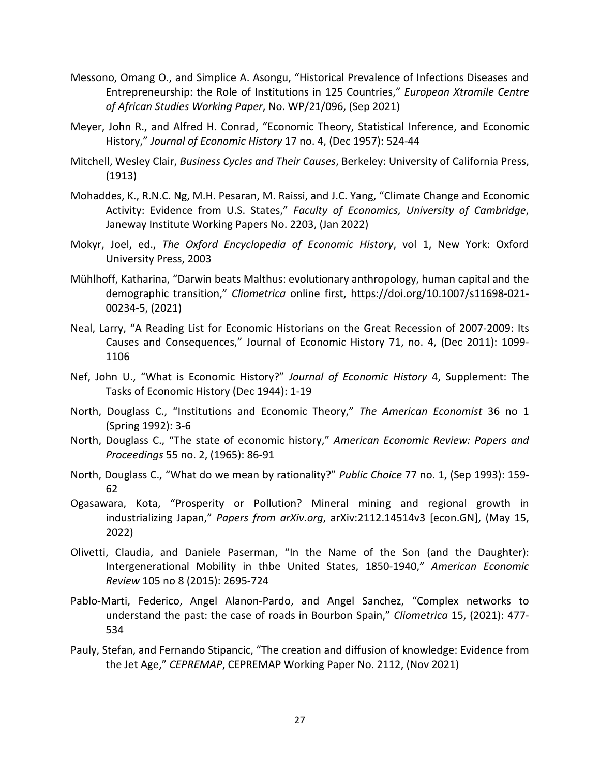- Messono, Omang O., and Simplice A. Asongu, "Historical Prevalence of Infections Diseases and Entrepreneurship: the Role of Institutions in 125 Countries," *European Xtramile Centre of African Studies Working Paper*, No. WP/21/096, (Sep 2021)
- Meyer, John R., and Alfred H. Conrad, "Economic Theory, Statistical Inference, and Economic History," *Journal of Economic History* 17 no. 4, (Dec 1957): 524-44
- Mitchell, Wesley Clair, *Business Cycles and Their Causes*, Berkeley: University of California Press, (1913)
- [Mohaddes,](http://econpapers.repec.org/scripts/search.pf?aus=Mohaddes,%20K.) K., R.N.C. [Ng,](http://econpapers.repec.org/scripts/search.pf?aus=Ng,%20R.%20N.%20C.) M.H. Pesaran, M. [Raissi,](http://econpapers.repec.org/scripts/search.pf?aus=Raissi,%20M.) and J.C. [Yang,](http://econpapers.repec.org/scripts/search.pf?aus=Yang,%20J-C.) "Climate Change and [Economic](http://econpapers.repec.org/RePEc:cam:camjip:2203) Activity: [Evidence](http://econpapers.repec.org/RePEc:cam:camjip:2203) from U.S. States," *Faculty of Economics, University of Cambridge*, Janeway Institute Working Papers No. 2203, (Jan 2022)
- Mokyr, Joel, ed., *The Oxford Encyclopedia of Economic History*, vol 1, New York: Oxford University Press, 2003
- Mühlhoff, Katharina, "Darwin beats Malthus: evolutionary anthropology, human capital and the demographic transition," *Cliometrica* online first, https://doi.org/10.1007/s11698-021- 00234-5, (2021)
- Neal, Larry, "A Reading List for Economic Historians on the Great Recession of 2007-2009: Its Causes and Consequences," Journal of Economic History 71, no. 4, (Dec 2011): 1099- 1106
- Nef, John U., "What is Economic History?" *Journal of Economic History* 4, Supplement: The Tasks of Economic History (Dec 1944): 1-19
- North, Douglass C., "Institutions and Economic Theory," *The American Economist* 36 no 1 (Spring 1992): 3-6
- North, Douglass C., "The state of economic history," *American Economic Review: Papers and Proceedings* 55 no. 2, (1965): 86-91
- North, Douglass C., "What do we mean by rationality?" *Public Choice* 77 no. 1, (Sep 1993): 159- 62
- Ogasawara, Kota, "Prosperity or Pollution? Mineral mining and regional growth in industrializing Japan," *Papers from arXiv.org*, arXiv:2112.14514v3 [econ.GN], (May 15, 2022)
- Olivetti, Claudia, and Daniele Paserman, "In the Name of the Son (and the Daughter): Intergenerational Mobility in thbe United States, 1850-1940," *American Economic Review* 105 no 8 (2015): 2695-724
- Pablo-Marti, Federico, Angel Alanon-Pardo, and Angel Sanchez, "Complex networks to understand the past: the case of roads in Bourbon Spain," *Cliometrica* 15, (2021): 477- 534
- Pauly, Stefan, and Fernando Stipancic, "The creation and diffusion of knowledge: Evidence from the Jet Age," *CEPREMAP*, CEPREMAP Working Paper No. 2112, (Nov 2021)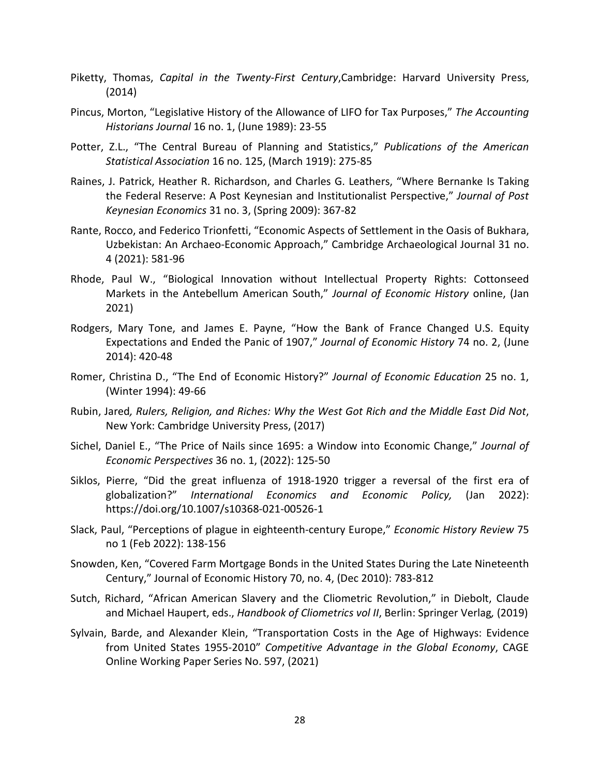- Piketty, Thomas, *Capital in the Twenty-First Century*,Cambridge: Harvard University Press, (2014)
- Pincus, Morton, "Legislative History of the Allowance of LIFO for Tax Purposes," *The Accounting Historians Journal* 16 no. 1, (June 1989): 23-55
- Potter, Z.L., "The Central Bureau of Planning and Statistics," *Publications of the American Statistical Association* 16 no. 125, (March 1919): 275-85
- Raines, J. Patrick, Heather R. Richardson, and Charles G. Leathers, "Where Bernanke Is Taking the Federal Reserve: A Post Keynesian and Institutionalist Perspective," *Journal of Post Keynesian Economics* 31 no. 3, (Spring 2009): 367-82
- Rante, Rocco, and Federico Trionfetti, "Economic Aspects of [Settlement](http://econpapers.repec.org/RePEc:hal:journl:hal-03463252) in the Oasis of Bukhara, Uzbekistan: An [Archaeo-Economic](http://econpapers.repec.org/RePEc:hal:journl:hal-03463252) Approach," Cambridge Archaeological Journal 31 no. 4 (2021): 581-96
- Rhode, Paul W., "Biological Innovation without Intellectual Property Rights: Cottonseed Markets in the Antebellum American South," *Journal of Economic History* online, (Jan 2021)
- Rodgers, Mary Tone, and James E. Payne, "How the Bank of France Changed U.S. Equity Expectations and Ended the Panic of 1907," *Journal of Economic History* 74 no. 2, (June 2014): 420-48
- Romer, Christina D., "The End of Economic History?" *Journal of Economic Education* 25 no. 1, (Winter 1994): 49-66
- Rubin, Jared*, Rulers, Religion, and Riches: Why the West Got Rich and the Middle East Did Not*, New York: Cambridge University Press, (2017)
- Sichel, Daniel E., "The Price of Nails since 1695: a Window into Economic Change," *Journal of Economic Perspectives* 36 no. 1, (2022): 125-50
- Siklos, Pierre, "Did the great influenza of 1918-1920 trigger a reversal of the first era of globalization?" *International Economics and Economic Policy,* (Jan 2022): https://doi.org/10.1007/s10368-021-00526-1
- Slack, Paul, "Perceptions of plague in eighteenth-century Europe," *Economic History Review* 75 no 1 (Feb 2022): 138-156
- Snowden, Ken, "Covered Farm Mortgage Bonds in the United States During the Late Nineteenth Century," Journal of Economic History 70, no. 4, (Dec 2010): 783-812
- Sutch, Richard, "African American Slavery and the Cliometric Revolution," in Diebolt, Claude and Michael Haupert, eds., *Handbook of Cliometrics vol II*, Berlin: Springer Verlag*,* (2019)
- Sylvain, Barde, and Alexander Klein, "Transportation Costs in the Age of Highways: Evidence from United States 1955-2010" *Competitive Advantage in the Global Economy*, CAGE Online Working Paper Series No. 597, (2021)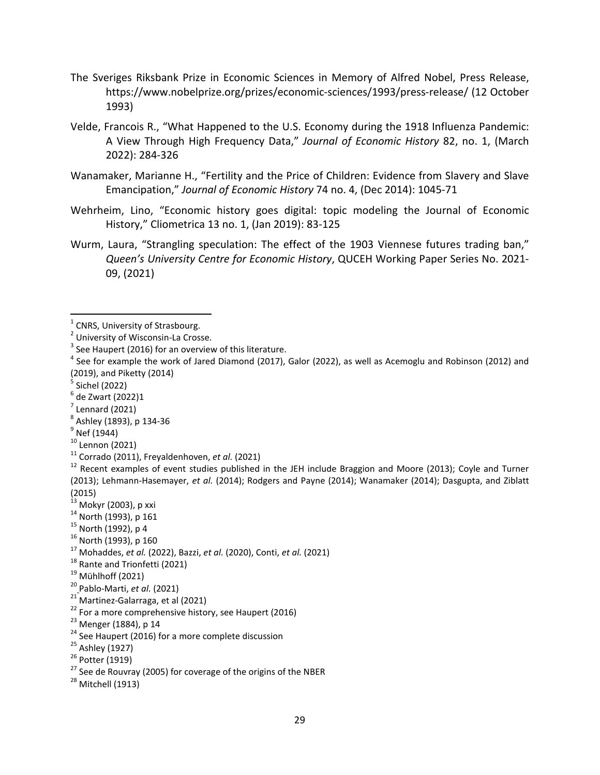- The Sveriges Riksbank Prize in Economic Sciences in Memory of Alfred Nobel, Press Release, https://www.nobelprize.org/prizes/economic-sciences/1993/press-release/ (12 October 1993)
- Velde, Francois R., "What Happened to the U.S. Economy during the 1918 Influenza Pandemic: A View Through High Frequency Data," *Journal of Economic History* 82, no. 1, (March 2022): 284-326
- Wanamaker, Marianne H., "Fertility and the Price of Children: Evidence from Slavery and Slave Emancipation," *Journal of Economic History* 74 no. 4, (Dec 2014): 1045-71
- Wehrheim, Lino, "Economic history goes digital: topic modeling the Journal of Economic History," Cliometrica 13 no. 1, (Jan 2019): 83-125
- Wurm, Laura, "Strangling speculation: The effect of the 1903 Viennese futures trading ban," *Queen's University Centre for Economic History*, QUCEH Working Paper Series No. 2021- 09, (2021)

- 
- 
- 
- 

- 
- 
- 
- 
- <sup>13</sup> Mokyr (2003), p xxi<br><sup>14</sup> North (1993), p 161<br><sup>15</sup> North (1992), p 4<br><sup>16</sup> North (1992), p 4<br><sup>16</sup> North (1993), p 160<br><sup>17</sup> Mohaddes, *et al.* (2022), Bazzi, *et al.* (2020), Conti, *et al.* (2021)<br><sup>18</sup> Rante and Trionf
- 
- 
- 
- 
- 
- 

- 
- 

<span id="page-29-0"></span> $1$  CNRS, University of Strasbourg.<br> $2$  University of Wisconsin-La Crosse.

<span id="page-29-1"></span> $3$  See Haupert (2016) for an overview of this literature.

 $4$  See for example the work of Jared Diamond (2017), Galor (2022), as well as Acemoglu and Robinson (2012) and (2019), and Piketty (2014)<br>  $5$  Sichel (2022)<br>  $6$  de Zwart (2022)1<br>  $7$  Lennard (2021)<br>  $8$  Ashley (1893), p 134-36<br>  $9$  Nef (1944)<br>  $10$  Lennon (2021)<br>  $11$  Corrado (2011), Freyaldenhoven, *et al.* (2021)<br>  $11$  Corrado

<sup>(2013);</sup> Lehmann-Hasemayer, *et al.* (2014); Rodgers and Payne (2014); Wanamaker (2014); Dasgupta, and Ziblatt (2015)<br><sup>13</sup> Mokyr (2003), p xxi